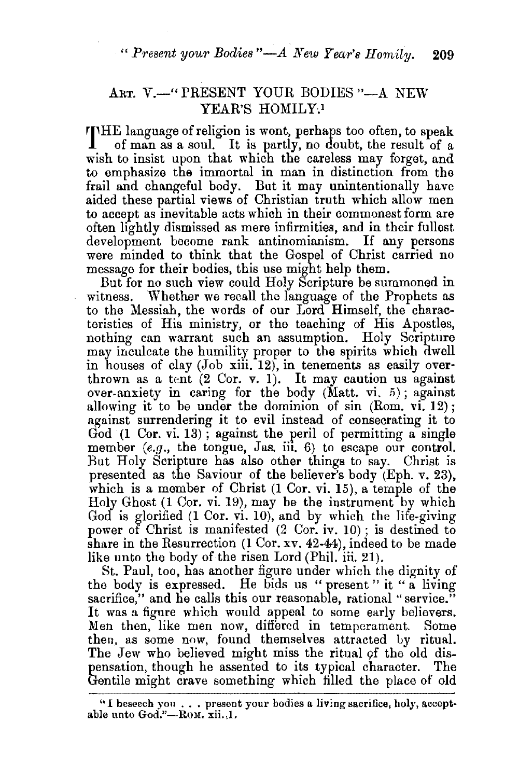*"* Present your Bodies "-A New Year's Homily. 209

## ART. V.-" PRESENT YOUR BODIES "-A NEW YEAR'S HOMILY.1

**rrHE** language of religion is wont, perhaps too often, to speak of man as a soul. It is partly, no doubt, the result of a wish to insist upon that which the careless may forget, and to emphasize the immortal in man in distinction from the frail and changeful body. But it may unintentionally have aided these partial views of Christian truth which allow men to accept as inevitable acts which in their commonest form are often lightly dismissed as mere infirmities, and in their fullest development become rank antinomianism. If any persons were minded to think that the Gospel of Christ carried no message for their bodies, this use might help them.

But for no such view could Holy Scripture be summoned in witness. Whether we recall the language of the Prophets as to the Messiah, the words of our Lord Himself, the characteristics of His ministry, or the teaching of His Apostles, nothing can warrant such an assumption. Holy Scripture may inculcate the humility proper to the spirits which dwell in houses of clay (Job xiii. 12), in tenements as easily overthrown as a tent  $(2 \text{ Cor. } v. 1)$ . It may caution us against over-anxiety in caring for the body (Matt. vi. 5); against allowing it to be under the dominion of sin (Rom. vi. 12) ; against surrendering it to evil instead of consecrating it to God (1 Cor. vi. 13); against the peril of permitting a single member  $(e,q)$ , the tongue, Jas. iii. 6) to escape our control. But Holy Scripture has also other things to say. Christ is presented as the Saviour of the believer's body (Eph. v. 23), which is a member of Christ (1 Cor. vi. 15), a temple of the Holy Ghost (1 Cor. vi. 19), may be the instrument by which God is glorified (1 Cor. vi. 10), and by which the life-giving power of Christ is manifested  $(2 \text{ Cor. iv. } 10)$ ; is destined to share in the Resurrection (1 Cor. xv. 42-44), indeed to be made like unto the body of the risen Lord (Phil. iii. 21).

St. Paul, too, has another figure under which the dignity of the body is expressed. He bids us " present " it " a living sacrifice," and he calls this our reasonable, rational "service." It was a figure which would appeal to some early believers. Men then, like men now, differed in temperament. Some then, as some now, found themselves attracted by ritual. The Jew who believed might miss the ritual of the old dispensation, though he assented to its typical character. The Gentile might crave something which filled the place of old

<sup>&</sup>quot;I beseech you . . . present your bodies a living sacrifice, holy, acceptable unto God."-Rom. xii. 1.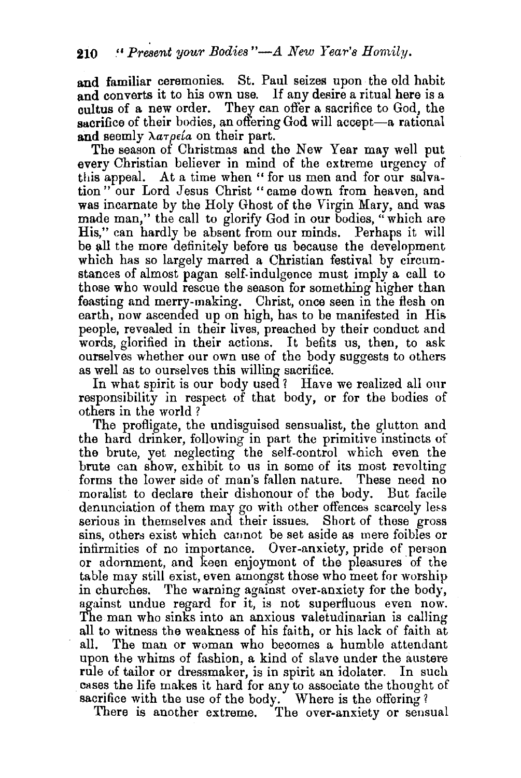and familiar ceremonies. St. Paul seizes upon the old habit and converts it to his own use. If any desire a ritual here is a cultus of a new order. They can offer a sacrifice to God, the sacrifice of their bodies, an offering God will accept-a rational and seemly  $\lambda a \tau \rho \epsilon a$  on their part.

The season of Christmas and the New Year may well put every Christian believer in mind of the extreme urgency of this appeal. At a time when " for us men and for our salvation" our Lord Jesus Christ "came down from heaven, and was incarnate by the Holy Ghost of the Virgin Mary, and was made man," the call to glorify God in our bodies, "which are His," can hardly be absent from our minds. Perhaps it will be all the more definitely before us because the development which has so largely marred a Christian festival by circumstances of almost pagan self-indulgence must imply a call to those who would rescue the season for something higher than feasting and merry-making. Christ, once seen in the flesh on earth, now ascended up on high, has to be manifested in His people, revealed in their lives, preached by their conduct and words, glorified in their actions. It befits us, then, to ask ourselves whether our own use of the body suggests to others as well as to ourselves this willing sacrifice.

In what spirit is our body used *1* Have we realized all onr responsibility in respect of that body, or for the bodies of others in the world ?

The profligate, the undisguised sensualist, the glutton and the hard drinker, following in part the primitive instincts of the brute, yet neglecting the self-control which even the brute can show, exhibit to us in some of its most revolting forms the lower side of man's fallen nature. These need no moralist to declare their dishonour of the body. But facile denunciation of them may go with other offences scarcely less serious in themselves and their issues. Short of these gross sins, others exist which cannot be set aside as mere foibles or infirmities of no importance. Over-anxiety, pride of person or adornment, and keen enjoyment of the pleasures· of the table may still exist, even amongst those who meet for worship in churches. The warning against over-anxiety for the body, against undue regard for it, is not superfluous even now. The man who sinks into an anxious valetudinarian is calling all to witness the weakness of his faith, or his lack of faith at all. The man or woman who becomes a humble attendant upon the whims of fashion, a kind of slave under the austere rule of tailor or dressmaker, is in spirit an idolater. In such cases the life makes it hard for any to associate the thought of sacrifice with the use of the body. Where is the offering?

There is another extreme. The over-anxiety or sensual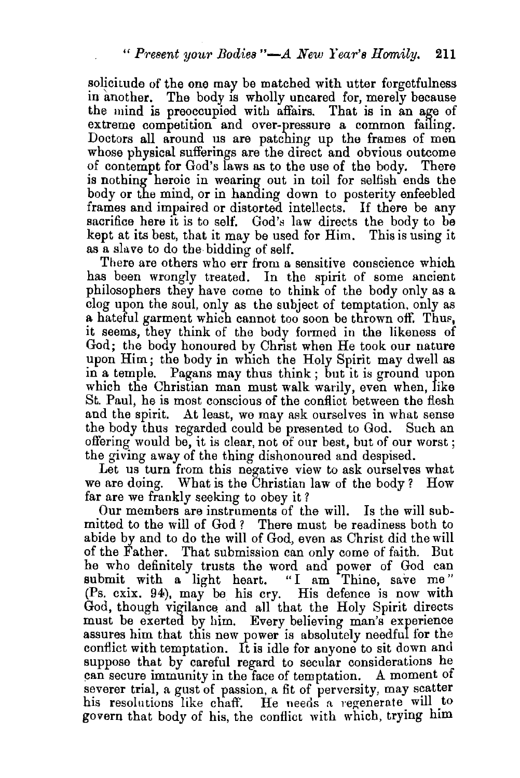solicitude of the one may be matched with utter forgetfulness in another. The body is wholly uncared for, merely because the mind is preoccupied with affairs. That is in an age of extreme competition and over-pressure a common failing. Doctors all around us are patching up the frames of men whose physical sufferings are the direct and obvious outcome of contempt for God's laws as to the use of the body. There is nothing heroic in wearing out in toil for selfish ends the body or the mind, or in handing down to posterity enfeebled frames and impaired or distorted intellects. If there be any sacrifice here it is to self. God's law directs the body to be kept at its best, that it may be used for Him. This is using it as a slave to do the bidding of self.

There are others who err from a sensitive conscience which has been wrongly treated. In the spirit of some ancient philosophers they have come to think of the body only as a clog upon the soul, only as the subject of temptation. only as a hateful garment which cannot too soon be thrown off. Thus, it seems, they think of the body formed in the likeness of God; the body honoured by Christ when He took our nature upon Him; the body in which the Holy Spirit may dwell as in a temple. Pagans may thus think ; but it is ground upon which the Christian man must walk warily, even when, like St. Paul, he is most conscious of the conflict between the flesh and the spirit. At least, we may ask ourselves in what sense the body thus regarded could be presented to God. Such an offering would be, it is clear, not of our best, but of our worst; the giving away of the thing dishonoured and despised.

Let us turn from this negative view to ask ourselves what we are doing. What is the Christian law of the body? How far are we frankly seeking to obey it?

Our members are instruments of the will. Is the will submitted to the will of God ? There must be readiness both to abide by and to do the will of God, even as Christ did the will of the Father. That submission can only come of faith. But he who definitely trusts the word and power of God can submit with a light heart. "I am Thine, save me" (Ps. cxix. 94), may be his cry. His defence is now with God, though vigilance and all that the Holy Spirit directs must be exerted by him. Every believing man's exyerience assures him that this new power is absolutely needful for the conflict with temptation. It is idle for anyone to sit down and suppose that by careful regard to secular considerations he can secure immunity in the face of temptation. A moment of severer trial, a gust of passion, a fit of perversity, may scatter his resolutions like chaff. He needs a regenerate will to govern that body of his, the conflict with which, trying him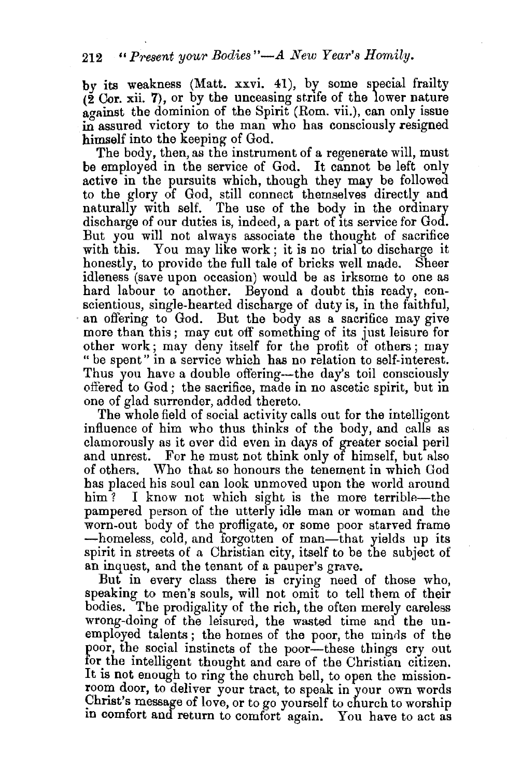## 212<sup>*"*</sup> Present your Bodies"—A New Year's Homily.

by its weakness (Matt. xxvi. 41), by some special frailty  $(2 \text{ Cor. xii. 7})$ , or by the unceasing strife of the lower nature  $a$ <sub>c</sub>  $a$ <sub>i</sub>  $b$ <sub>i</sub>  $b$ <sub>i</sub>  $c$ <sub>i</sub>  $d$ <sub>i</sub>  $b$ <sub>i</sub>  $c$ <sub>i</sub>  $b$ <sub>i</sub>  $c$ <sub>i</sub>  $c$ <sub>i</sub>  $c$ <sub>i</sub>  $c$ <sub>i</sub>  $c$ <sub>i</sub>  $c$ <sub>i</sub>  $c$ <sub>i</sub>  $c$ <sub>i</sub>  $c$ <sub>i</sub>  $c$ <sub>i</sub>  $c$ <sub>i</sub>  $c$ <sub>i</sub>  $c$ <sub>i</sub>  $c$ <sub>i</sub>  $c$ <sub>i</sub>  $c$ <sub>i</sub>  $c$ <sub>i</sub>  $c$ <sub>i</sub>  $c$ <sub>i</sub>  $c$ <sub>i</sub>  $c$ <sub>i</sub>  $c$ <sub>i</sub>  $c$ <sub></sub> in assured victory to the man who has consciously resigned himself into the keeping of God.

The body, then, as the instrument of a regenerate will, must be employed in the service of God. It cannot be left only active in the pursuits which, though they may be followed to the glory of God, still connect themselves directly and naturally with self. The use of the body in the ordinary discharge of our duties is, indeed, a part of Its service for God. But you will not always associate the thought of sacrifice with this. You may like work; it is no trial to discharge it honestly, to provide the full tale of bricks well made. Sheer idleness (save upon occasion) would be as irksome to one as hard labour to another. Beyond a doubt this ready, conscientious, single-hearted discharge of duty is, in the faithful, an offering to God. But the body as a sacrifice may give more than this ; may cut off something of its just leisure for other work; may deny itself for the profit of others; may "be spent" in a service which has no relation to self-interest. Thus you have a double offering—the day's toil consciously offered to God; the sacrifice, made in no ascetic spirit, but in one of glad surrender, added thereto.

The whole field of social activity calls out for the intelligent influence of him who thus thinks of the body, and calls as clamorously as it ever did even in days of greater social peril and unrest. For he must not think only of himself, but also of others. Who that so honours the tenement in which God has placed his soul can look unmoved upon the world around him? I know not which sight is the more terrible—the pampered person of the utterly idle man or woman and the worn-out body of the profligate, or some poor starved frame -homeless, cold, and forgotten of man-that yields up its spirit in streets of a Christian city, itself to be the subject of an inquest, and the tenant of a pauper's grave.

But in every class there is crying need of those who, speaking to men's souls, will not omit to tell them of their bodies. The prodigality of the rich, the often merely careless wrong-doing of the leisured, the wasted time and the unemployed talents; the homes of the poor, the minds of the poor, the social instincts of the poor-these things cry out for the intelligent thought and care of the Christian citizen. It is not enough to ring the church bell, to open the missionroom door, to deliver your tract, to speak in your own words Christ's message of love, or to go yourself to church to worship In comfort and return to comfort again. You have to act as